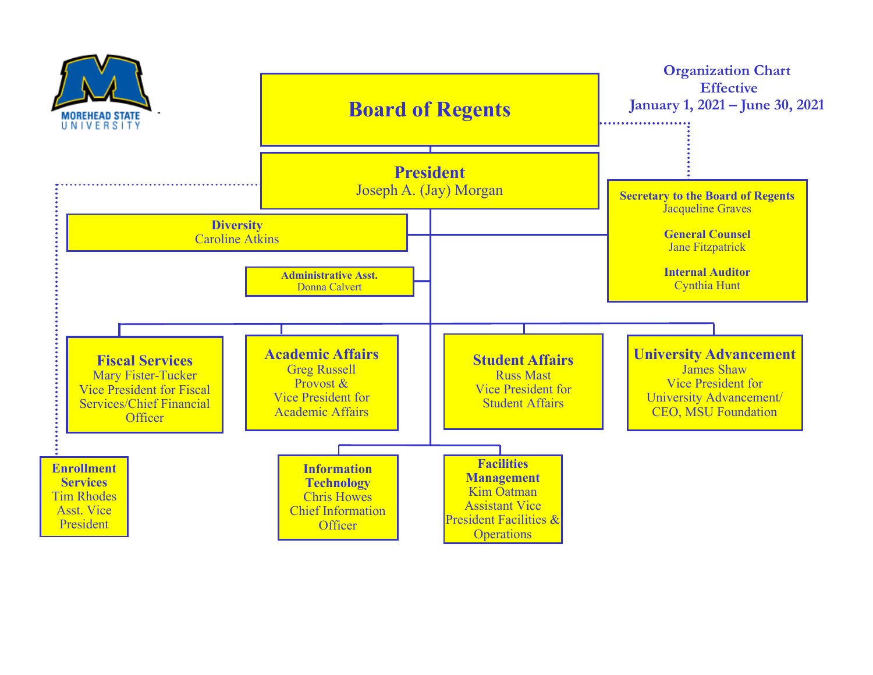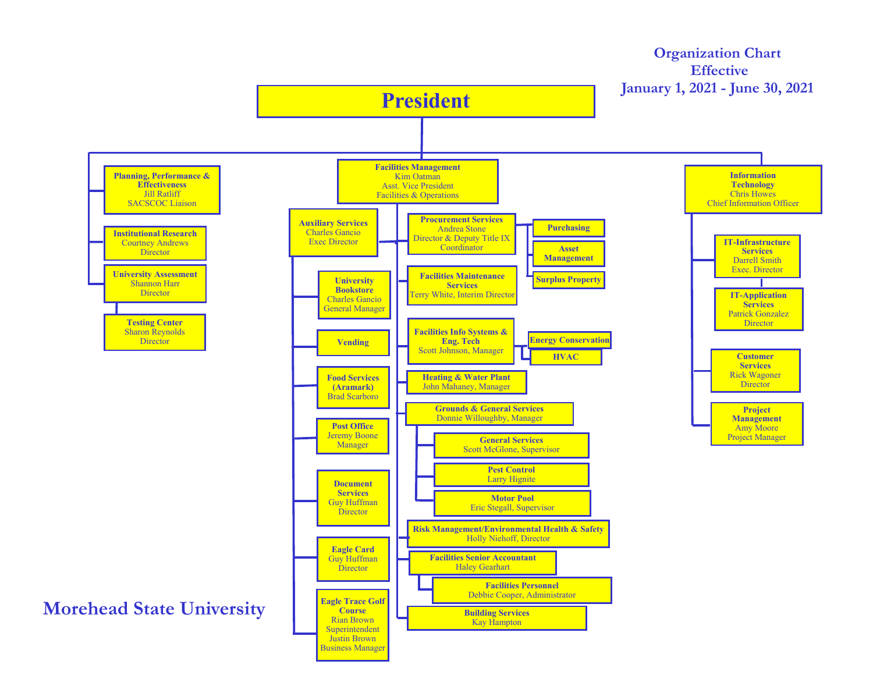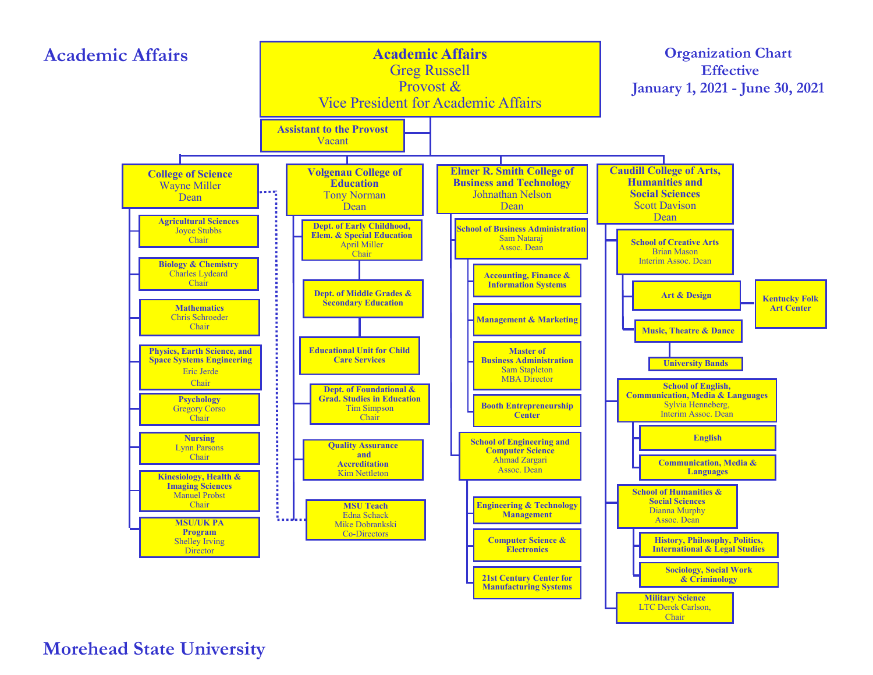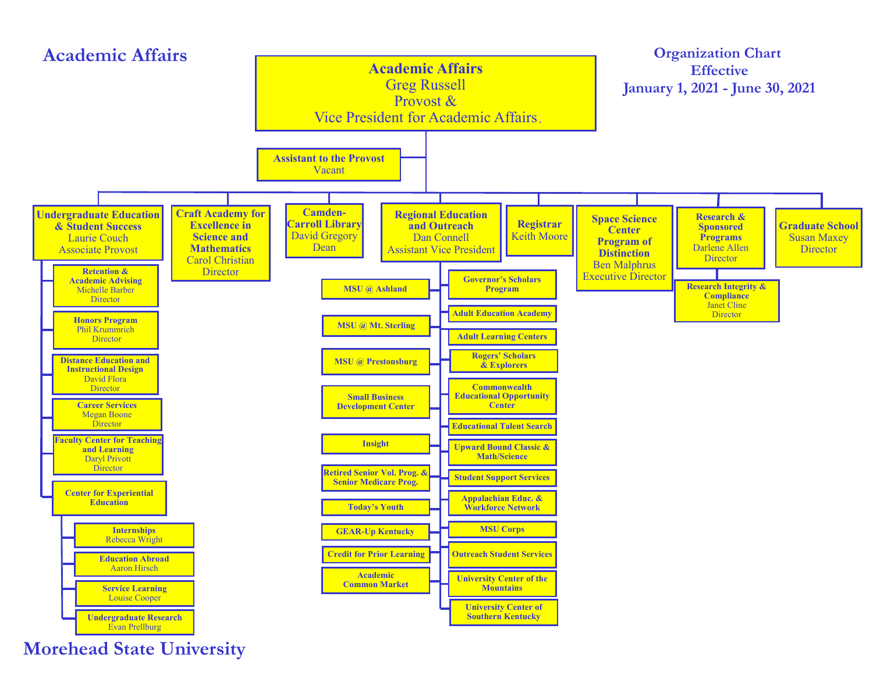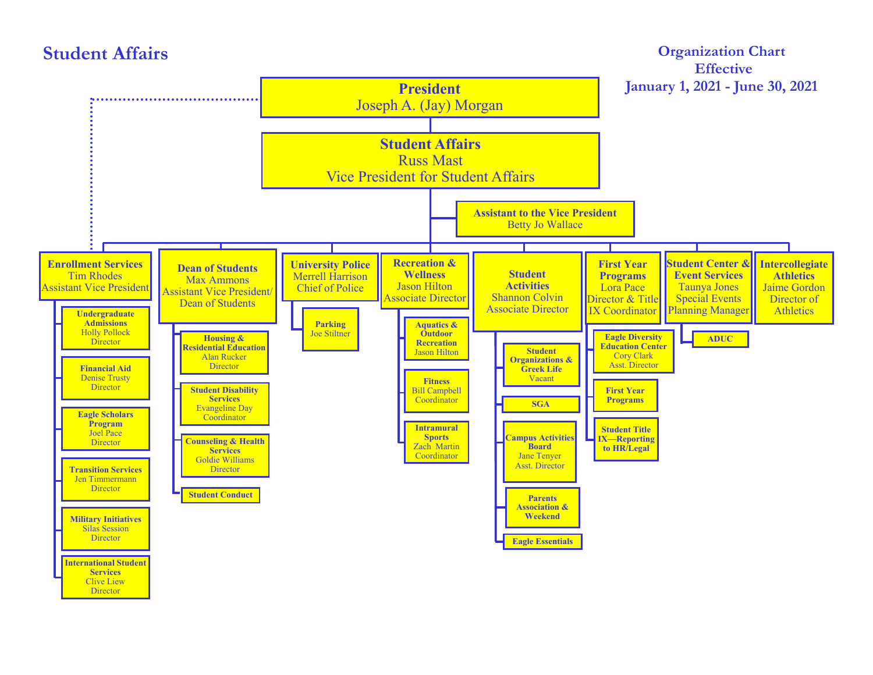



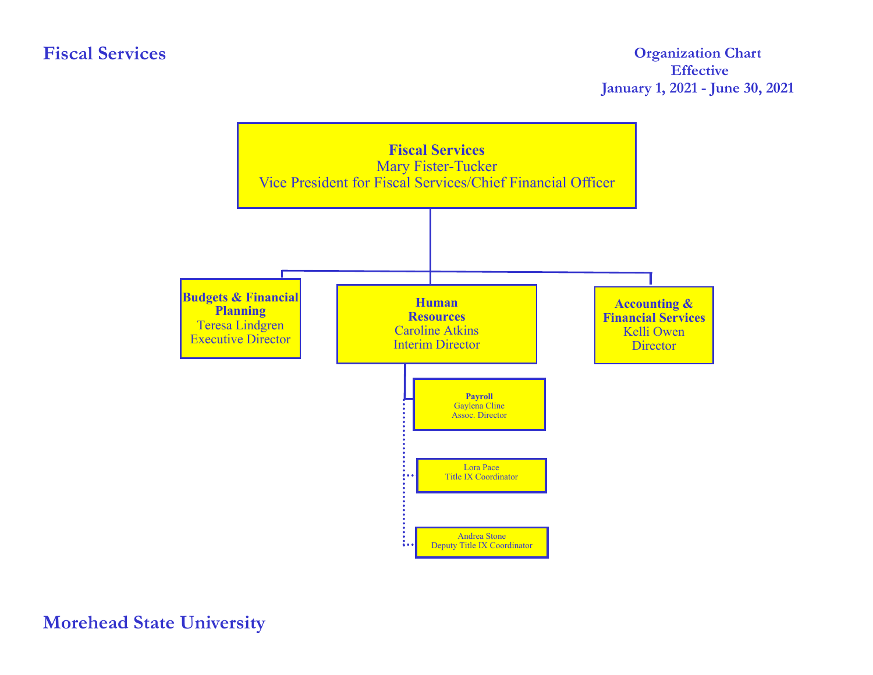## **Fiscal Services**

## **Organization Chart Effective January 1, 2021 - June 30, 2021**